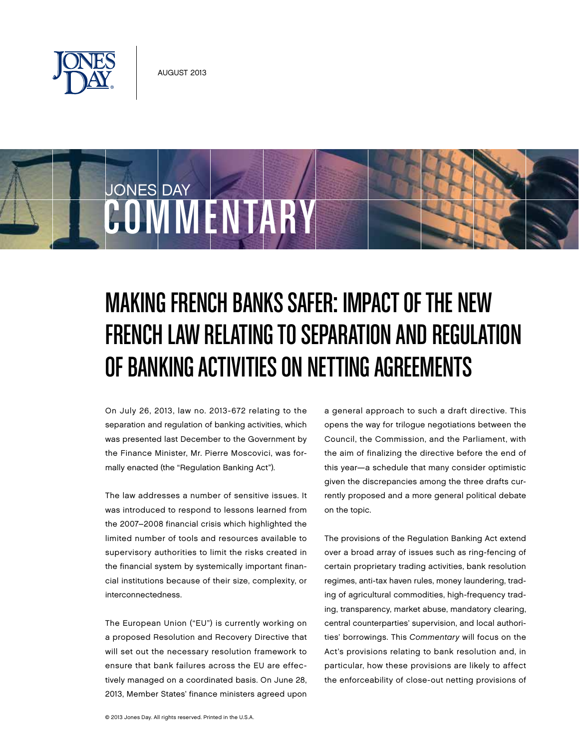

JONES DAY

# Making French Banks Safer: Impact of the New French Law Relating to Separation and Regulation of Banking Activities on Netting Agreements

On July 26, 2013, law no. 2013-672 relating to the separation and regulation of banking activities, which was presented last December to the Government by the Finance Minister, Mr. Pierre Moscovici, was formally enacted (the "Regulation Banking Act").

COMMENTARY

The law addresses a number of sensitive issues. It was introduced to respond to lessons learned from the 2007–2008 financial crisis which highlighted the limited number of tools and resources available to supervisory authorities to limit the risks created in the financial system by systemically important financial institutions because of their size, complexity, or interconnectedness.

The European Union ("EU") is currently working on a proposed Resolution and Recovery Directive that will set out the necessary resolution framework to ensure that bank failures across the EU are effectively managed on a coordinated basis. On June 28, 2013, Member States' finance ministers agreed upon a general approach to such a draft directive. This opens the way for trilogue negotiations between the Council, the Commission, and the Parliament, with the aim of finalizing the directive before the end of this year—a schedule that many consider optimistic given the discrepancies among the three drafts currently proposed and a more general political debate on the topic.

The provisions of the Regulation Banking Act extend over a broad array of issues such as ring-fencing of certain proprietary trading activities, bank resolution regimes, anti-tax haven rules, money laundering, trading of agricultural commodities, high-frequency trading, transparency, market abuse, mandatory clearing, central counterparties' supervision, and local authorities' borrowings. This Commentary will focus on the Act's provisions relating to bank resolution and, in particular, how these provisions are likely to affect the enforceability of close-out netting provisions of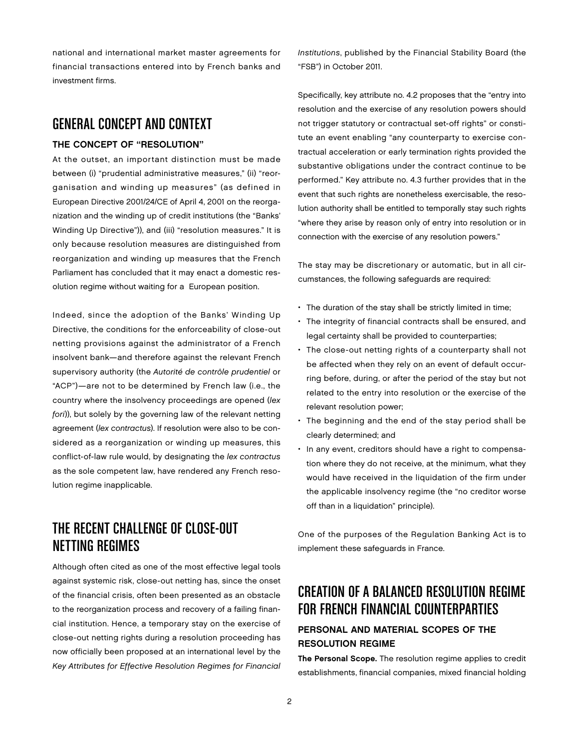national and international market master agreements for financial transactions entered into by French banks and investment firms.

## GENERAL CONCEPT AND CONTEXT

#### THE CONCEPT OF "RESOLUTION"

At the outset, an important distinction must be made between (i) "prudential administrative measures," (ii) "reorganisation and winding up measures" (as defined in European Directive 2001/24/CE of April 4, 2001 on the reorganization and the winding up of credit institutions (the "Banks' Winding Up Directive")), and (iii) "resolution measures." It is only because resolution measures are distinguished from reorganization and winding up measures that the French Parliament has concluded that it may enact a domestic resolution regime without waiting for a European position.

Indeed, since the adoption of the Banks' Winding Up Directive, the conditions for the enforceability of close-out netting provisions against the administrator of a French insolvent bank—and therefore against the relevant French supervisory authority (the Autorité de contrôle prudentiel or "ACP")—are not to be determined by French law (i.e., the country where the insolvency proceedings are opened (lex fori)), but solely by the governing law of the relevant netting agreement (lex contractus). If resolution were also to be considered as a reorganization or winding up measures, this conflict-of-law rule would, by designating the lex contractus as the sole competent law, have rendered any French resolution regime inapplicable.

# THE RECENT CHALLENGE OF CLOSE-OUT NETTING REGIMES

Although often cited as one of the most effective legal tools against systemic risk, close-out netting has, since the onset of the financial crisis, often been presented as an obstacle to the reorganization process and recovery of a failing financial institution. Hence, a temporary stay on the exercise of close-out netting rights during a resolution proceeding has now officially been proposed at an international level by the Key Attributes for Effective Resolution Regimes for Financial

Institutions, published by the Financial Stability Board (the "FSB") in October 2011.

Specifically, key attribute no. 4.2 proposes that the "entry into resolution and the exercise of any resolution powers should not trigger statutory or contractual set-off rights" or constitute an event enabling "any counterparty to exercise contractual acceleration or early termination rights provided the substantive obligations under the contract continue to be performed." Key attribute no. 4.3 further provides that in the event that such rights are nonetheless exercisable, the resolution authority shall be entitled to temporally stay such rights "where they arise by reason only of entry into resolution or in connection with the exercise of any resolution powers."

The stay may be discretionary or automatic, but in all circumstances, the following safeguards are required:

- The duration of the stay shall be strictly limited in time;
- The integrity of financial contracts shall be ensured, and legal certainty shall be provided to counterparties;
- The close-out netting rights of a counterparty shall not be affected when they rely on an event of default occurring before, during, or after the period of the stay but not related to the entry into resolution or the exercise of the relevant resolution power;
- The beginning and the end of the stay period shall be clearly determined; and
- In any event, creditors should have a right to compensation where they do not receive, at the minimum, what they would have received in the liquidation of the firm under the applicable insolvency regime (the "no creditor worse off than in a liquidation" principle).

One of the purposes of the Regulation Banking Act is to implement these safeguards in France.

# CREATION OF A BALANCED RESOLUTION REGIME FOR FRENCH FINANCIAL COUNTERPARTIES

### Personal and Material Scopes of the Resolution Regime

The Personal Scope. The resolution regime applies to credit establishments, financial companies, mixed financial holding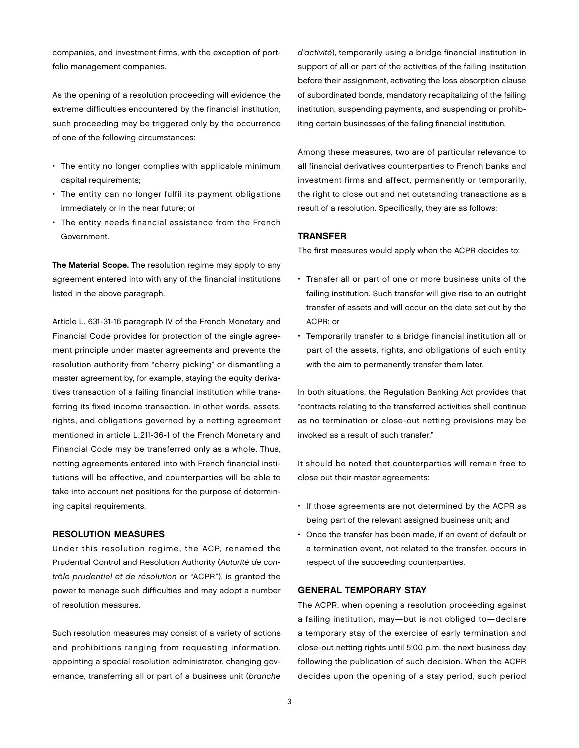companies, and investment firms, with the exception of portfolio management companies.

As the opening of a resolution proceeding will evidence the extreme difficulties encountered by the financial institution, such proceeding may be triggered only by the occurrence of one of the following circumstances:

- The entity no longer complies with applicable minimum capital requirements;
- The entity can no longer fulfil its payment obligations immediately or in the near future; or
- The entity needs financial assistance from the French Government.

The Material Scope. The resolution regime may apply to any agreement entered into with any of the financial institutions listed in the above paragraph.

Article L. 631-31-16 paragraph IV of the French Monetary and Financial Code provides for protection of the single agreement principle under master agreements and prevents the resolution authority from "cherry picking" or dismantling a master agreement by, for example, staying the equity derivatives transaction of a failing financial institution while transferring its fixed income transaction. In other words, assets, rights, and obligations governed by a netting agreement mentioned in article L.211-36-1 of the French Monetary and Financial Code may be transferred only as a whole. Thus, netting agreements entered into with French financial institutions will be effective, and counterparties will be able to take into account net positions for the purpose of determining capital requirements.

#### Resolution Measures

Under this resolution regime, the ACP, renamed the Prudential Control and Resolution Authority (Autorité de contrôle prudentiel et de résolution or "ACPR"), is granted the power to manage such difficulties and may adopt a number of resolution measures.

Such resolution measures may consist of a variety of actions and prohibitions ranging from requesting information, appointing a special resolution administrator, changing governance, transferring all or part of a business unit (branche d'activité), temporarily using a bridge financial institution in support of all or part of the activities of the failing institution before their assignment, activating the loss absorption clause of subordinated bonds, mandatory recapitalizing of the failing institution, suspending payments, and suspending or prohibiting certain businesses of the failing financial institution.

Among these measures, two are of particular relevance to all financial derivatives counterparties to French banks and investment firms and affect, permanently or temporarily, the right to close out and net outstanding transactions as a result of a resolution. Specifically, they are as follows:

#### **TRANSFER**

The first measures would apply when the ACPR decides to:

- Transfer all or part of one or more business units of the failing institution. Such transfer will give rise to an outright transfer of assets and will occur on the date set out by the ACPR; or
- Temporarily transfer to a bridge financial institution all or part of the assets, rights, and obligations of such entity with the aim to permanently transfer them later.

In both situations, the Regulation Banking Act provides that "contracts relating to the transferred activities shall continue as no termination or close-out netting provisions may be invoked as a result of such transfer."

It should be noted that counterparties will remain free to close out their master agreements:

- If those agreements are not determined by the ACPR as being part of the relevant assigned business unit; and
- Once the transfer has been made, if an event of default or a termination event, not related to the transfer, occurs in respect of the succeeding counterparties.

#### General Temporary Stay

The ACPR, when opening a resolution proceeding against a failing institution, may—but is not obliged to—declare a temporary stay of the exercise of early termination and close-out netting rights until 5:00 p.m. the next business day following the publication of such decision. When the ACPR decides upon the opening of a stay period, such period